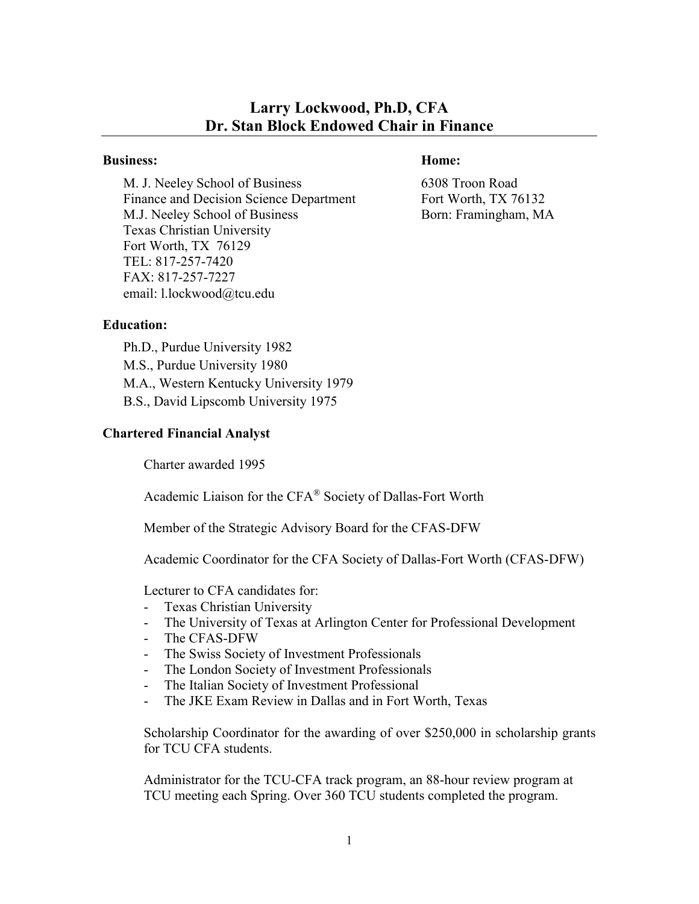# **Larry Lockwood, Ph.D, CFA Dr. Stan Block Endowed Chair in Finance**

#### **Business: Home:**

M. J. Neeley School of Business 6308 Troon Road Finance and Decision Science Department Fort Worth, TX 76132 M.J. Neeley School of Business Born: Framingham, MA Texas Christian University Fort Worth, TX 76129 TEL: 817-257-7420 FAX: 817-257-7227 email: l.lockwood@tcu.edu

## **Education:**

Ph.D., Purdue University 1982 M.S., Purdue University 1980 M.A., Western Kentucky University 1979 B.S., David Lipscomb University 1975

## **Chartered Financial Analyst**

Charter awarded 1995

Academic Liaison for the CFA® Society of Dallas-Fort Worth

Member of the Strategic Advisory Board for the CFAS-DFW

Academic Coordinator for the CFA Society of Dallas-Fort Worth (CFAS-DFW)

Lecturer to CFA candidates for:

- Texas Christian University
- The University of Texas at Arlington Center for Professional Development
- The CFAS-DFW
- The Swiss Society of Investment Professionals
- The London Society of Investment Professionals
- The Italian Society of Investment Professional
- The JKE Exam Review in Dallas and in Fort Worth, Texas

Scholarship Coordinator for the awarding of over \$250,000 in scholarship grants for TCU CFA students.

Administrator for the TCU-CFA track program, an 88-hour review program at TCU meeting each Spring. Over 360 TCU students completed the program.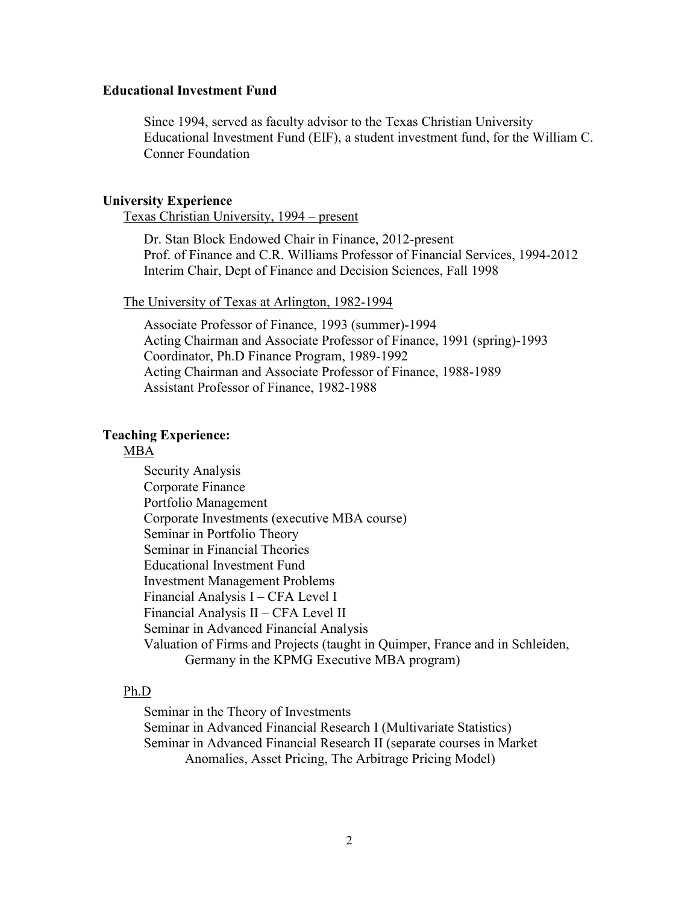#### **Educational Investment Fund**

Since 1994, served as faculty advisor to the Texas Christian University Educational Investment Fund (EIF), a student investment fund, for the William C. Conner Foundation

#### **University Experience**

Texas Christian University, 1994 – present

Dr. Stan Block Endowed Chair in Finance, 2012-present Prof. of Finance and C.R. Williams Professor of Financial Services, 1994-2012 Interim Chair, Dept of Finance and Decision Sciences, Fall 1998

#### The University of Texas at Arlington, 1982-1994

Associate Professor of Finance, 1993 (summer)-1994 Acting Chairman and Associate Professor of Finance, 1991 (spring)-1993 Coordinator, Ph.D Finance Program, 1989-1992 Acting Chairman and Associate Professor of Finance, 1988-1989 Assistant Professor of Finance, 1982-1988

#### **Teaching Experience:**

## MBA

Security Analysis Corporate Finance Portfolio Management Corporate Investments (executive MBA course) Seminar in Portfolio Theory Seminar in Financial Theories Educational Investment Fund Investment Management Problems Financial Analysis I – CFA Level I Financial Analysis II – CFA Level II Seminar in Advanced Financial Analysis Valuation of Firms and Projects (taught in Quimper, France and in Schleiden, Germany in the KPMG Executive MBA program)

#### Ph.D

Seminar in the Theory of Investments Seminar in Advanced Financial Research I (Multivariate Statistics) Seminar in Advanced Financial Research II (separate courses in Market Anomalies, Asset Pricing, The Arbitrage Pricing Model)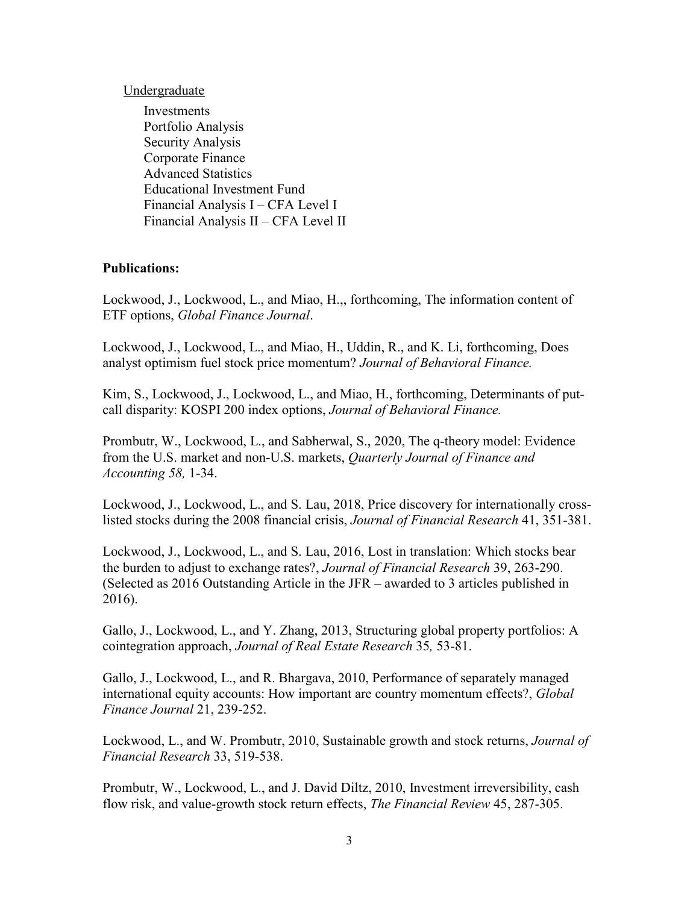Undergraduate

Investments Portfolio Analysis Security Analysis Corporate Finance Advanced Statistics Educational Investment Fund Financial Analysis I – CFA Level I Financial Analysis II – CFA Level II

## **Publications:**

Lockwood, J., Lockwood, L., and Miao, H.,, forthcoming, The information content of ETF options, *Global Finance Journal*.

Lockwood, J., Lockwood, L., and Miao, H., Uddin, R., and K. Li, forthcoming, Does analyst optimism fuel stock price momentum? *Journal of Behavioral Finance.*

Kim, S., Lockwood, J., Lockwood, L., and Miao, H., forthcoming, Determinants of putcall disparity: KOSPI 200 index options, *Journal of Behavioral Finance.* 

Prombutr, W., Lockwood, L., and Sabherwal, S., 2020, The q-theory model: Evidence from the U.S. market and non-U.S. markets, *Quarterly Journal of Finance and Accounting 58,* 1-34.

Lockwood, J., Lockwood, L., and S. Lau, 2018, Price discovery for internationally crosslisted stocks during the 2008 financial crisis, *Journal of Financial Research* 41, 351-381.

Lockwood, J., Lockwood, L., and S. Lau, 2016, Lost in translation: Which stocks bear the burden to adjust to exchange rates?, *Journal of Financial Research* 39, 263-290. (Selected as 2016 Outstanding Article in the JFR – awarded to 3 articles published in 2016).

Gallo, J., Lockwood, L., and Y. Zhang, 2013, Structuring global property portfolios: A cointegration approach, *Journal of Real Estate Research* 35*,* 53-81.

Gallo, J., Lockwood, L., and R. Bhargava, 2010, Performance of separately managed international equity accounts: How important are country momentum effects?, *Global Finance Journal* 21, 239-252.

Lockwood, L., and W. Prombutr, 2010, Sustainable growth and stock returns, *Journal of Financial Research* 33, 519-538.

Prombutr, W., Lockwood, L., and J. David Diltz, 2010, Investment irreversibility, cash flow risk, and value-growth stock return effects, *The Financial Review* 45, 287-305.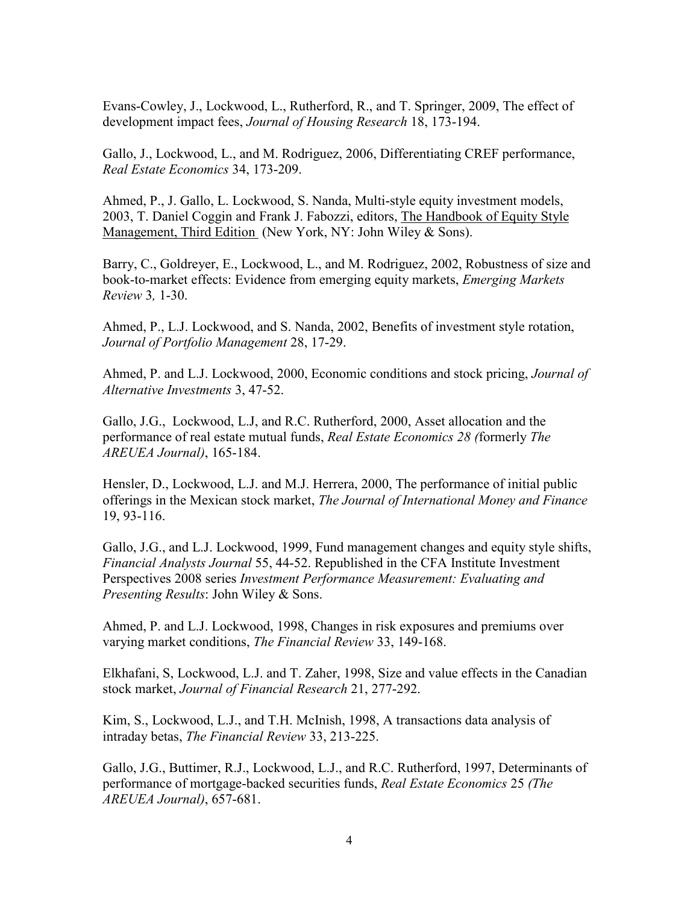Evans-Cowley, J., Lockwood, L., Rutherford, R., and T. Springer, 2009, The effect of development impact fees, *Journal of Housing Research* 18, 173-194.

Gallo, J., Lockwood, L., and M. Rodriguez, 2006, Differentiating CREF performance, *Real Estate Economics* 34, 173-209.

Ahmed, P., J. Gallo, L. Lockwood, S. Nanda, Multi-style equity investment models, 2003, T. Daniel Coggin and Frank J. Fabozzi, editors, The Handbook of Equity Style Management, Third Edition (New York, NY: John Wiley & Sons).

Barry, C., Goldreyer, E., Lockwood, L., and M. Rodriguez, 2002, Robustness of size and book-to-market effects: Evidence from emerging equity markets, *Emerging Markets Review* 3*,* 1-30.

Ahmed, P., L.J. Lockwood, and S. Nanda, 2002, Benefits of investment style rotation, *Journal of Portfolio Management* 28, 17-29.

Ahmed, P. and L.J. Lockwood, 2000, Economic conditions and stock pricing, *Journal of Alternative Investments* 3, 47-52.

Gallo, J.G., Lockwood, L.J, and R.C. Rutherford, 2000, Asset allocation and the performance of real estate mutual funds, *Real Estate Economics 28 (*formerly *The AREUEA Journal)*, 165-184.

Hensler, D., Lockwood, L.J. and M.J. Herrera, 2000, The performance of initial public offerings in the Mexican stock market, *The Journal of International Money and Finance*  19, 93-116.

Gallo, J.G., and L.J. Lockwood, 1999, Fund management changes and equity style shifts, *Financial Analysts Journal* 55, 44-52. Republished in the CFA Institute Investment Perspectives 2008 series *Investment Performance Measurement: Evaluating and Presenting Results*: John Wiley & Sons.

Ahmed, P. and L.J. Lockwood, 1998, Changes in risk exposures and premiums over varying market conditions, *The Financial Review* 33, 149-168.

Elkhafani, S, Lockwood, L.J. and T. Zaher, 1998, Size and value effects in the Canadian stock market, *Journal of Financial Research* 21, 277-292.

Kim, S., Lockwood, L.J., and T.H. McInish, 1998, A transactions data analysis of intraday betas, *The Financial Review* 33, 213-225.

Gallo, J.G., Buttimer, R.J., Lockwood, L.J., and R.C. Rutherford, 1997, Determinants of performance of mortgage-backed securities funds, *Real Estate Economics* 25 *(The AREUEA Journal)*, 657-681.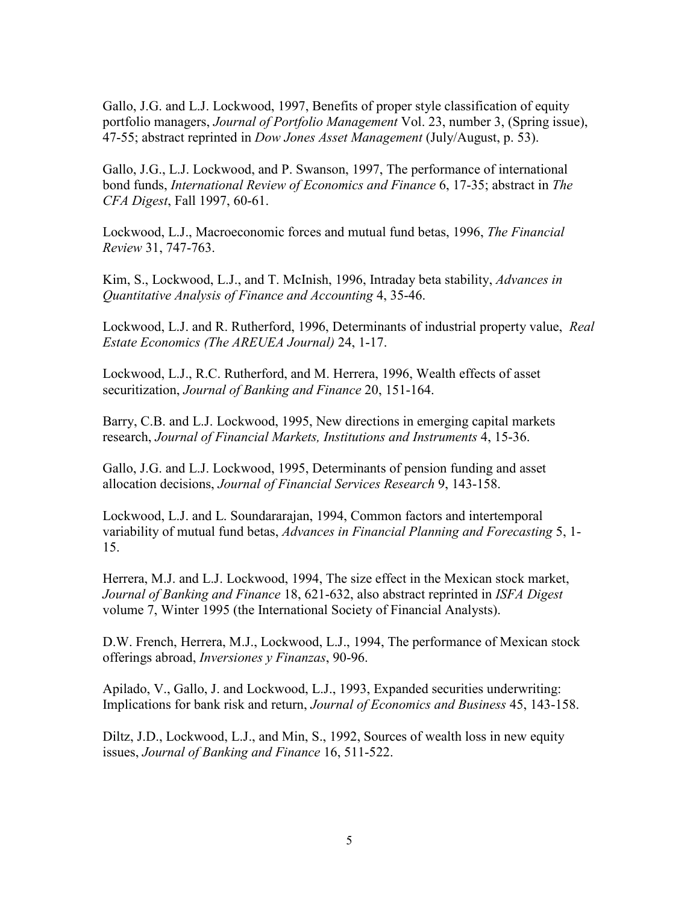Gallo, J.G. and L.J. Lockwood, 1997, Benefits of proper style classification of equity portfolio managers, *Journal of Portfolio Management* Vol. 23, number 3, (Spring issue), 47-55; abstract reprinted in *Dow Jones Asset Management* (July/August, p. 53).

Gallo, J.G., L.J. Lockwood, and P. Swanson, 1997, The performance of international bond funds, *International Review of Economics and Finance* 6, 17-35; abstract in *The CFA Digest*, Fall 1997, 60-61.

Lockwood, L.J., Macroeconomic forces and mutual fund betas, 1996, *The Financial Review* 31, 747-763.

Kim, S., Lockwood, L.J., and T. McInish, 1996, Intraday beta stability, *Advances in Quantitative Analysis of Finance and Accounting* 4, 35-46.

Lockwood, L.J. and R. Rutherford, 1996, Determinants of industrial property value, *Real Estate Economics (The AREUEA Journal)* 24, 1-17.

Lockwood, L.J., R.C. Rutherford, and M. Herrera, 1996, Wealth effects of asset securitization, *Journal of Banking and Finance* 20, 151-164.

Barry, C.B. and L.J. Lockwood, 1995, New directions in emerging capital markets research, *Journal of Financial Markets, Institutions and Instruments* 4, 15-36.

Gallo, J.G. and L.J. Lockwood, 1995, Determinants of pension funding and asset allocation decisions, *Journal of Financial Services Research* 9, 143-158.

Lockwood, L.J. and L. Soundararajan, 1994, Common factors and intertemporal variability of mutual fund betas, *Advances in Financial Planning and Forecasting* 5, 1- 15.

Herrera, M.J. and L.J. Lockwood, 1994, The size effect in the Mexican stock market, *Journal of Banking and Finance* 18, 621-632, also abstract reprinted in *ISFA Digest* volume 7, Winter 1995 (the International Society of Financial Analysts).

D.W. French, Herrera, M.J., Lockwood, L.J., 1994, The performance of Mexican stock offerings abroad, *Inversiones y Finanzas*, 90-96.

Apilado, V., Gallo, J. and Lockwood, L.J., 1993, Expanded securities underwriting: Implications for bank risk and return, *Journal of Economics and Business* 45, 143-158.

Diltz, J.D., Lockwood, L.J., and Min, S., 1992, Sources of wealth loss in new equity issues, *Journal of Banking and Finance* 16, 511-522.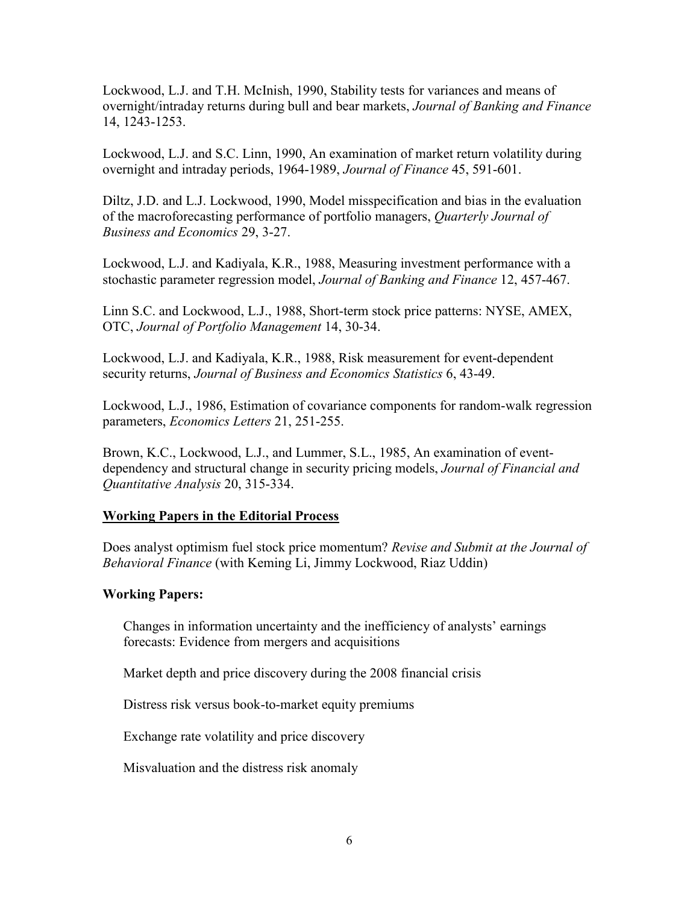Lockwood, L.J. and T.H. McInish, 1990, Stability tests for variances and means of overnight/intraday returns during bull and bear markets, *Journal of Banking and Finance* 14, 1243-1253.

Lockwood, L.J. and S.C. Linn, 1990, An examination of market return volatility during overnight and intraday periods, 1964-1989, *Journal of Finance* 45, 591-601.

Diltz, J.D. and L.J. Lockwood, 1990, Model misspecification and bias in the evaluation of the macroforecasting performance of portfolio managers, *Quarterly Journal of Business and Economics* 29, 3-27.

Lockwood, L.J. and Kadiyala, K.R., 1988, Measuring investment performance with a stochastic parameter regression model, *Journal of Banking and Finance* 12, 457-467.

Linn S.C. and Lockwood, L.J., 1988, Short-term stock price patterns: NYSE, AMEX, OTC, *Journal of Portfolio Management* 14, 30-34.

Lockwood, L.J. and Kadiyala, K.R., 1988, Risk measurement for event-dependent security returns, *Journal of Business and Economics Statistics* 6, 43-49.

Lockwood, L.J., 1986, Estimation of covariance components for random-walk regression parameters, *Economics Letters* 21, 251-255.

Brown, K.C., Lockwood, L.J., and Lummer, S.L., 1985, An examination of eventdependency and structural change in security pricing models, *Journal of Financial and Quantitative Analysis* 20, 315-334.

## **Working Papers in the Editorial Process**

Does analyst optimism fuel stock price momentum? *Revise and Submit at the Journal of Behavioral Finance* (with Keming Li, Jimmy Lockwood, Riaz Uddin)

## **Working Papers:**

Changes in information uncertainty and the inefficiency of analysts' earnings forecasts: Evidence from mergers and acquisitions

Market depth and price discovery during the 2008 financial crisis

Distress risk versus book-to-market equity premiums

Exchange rate volatility and price discovery

Misvaluation and the distress risk anomaly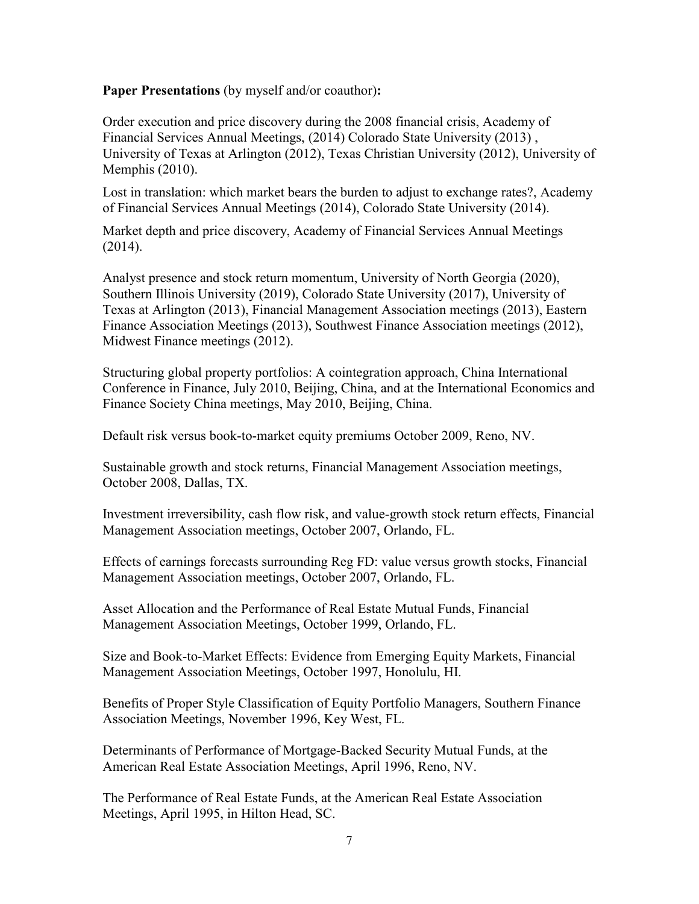### **Paper Presentations** (by myself and/or coauthor)**:**

Order execution and price discovery during the 2008 financial crisis, Academy of Financial Services Annual Meetings, (2014) Colorado State University (2013) , University of Texas at Arlington (2012), Texas Christian University (2012), University of Memphis (2010).

Lost in translation: which market bears the burden to adjust to exchange rates?, Academy of Financial Services Annual Meetings (2014), Colorado State University (2014).

Market depth and price discovery, Academy of Financial Services Annual Meetings (2014).

Analyst presence and stock return momentum, University of North Georgia (2020), Southern Illinois University (2019), Colorado State University (2017), University of Texas at Arlington (2013), Financial Management Association meetings (2013), Eastern Finance Association Meetings (2013), Southwest Finance Association meetings (2012), Midwest Finance meetings (2012).

Structuring global property portfolios: A cointegration approach, China International Conference in Finance, July 2010, Beijing, China, and at the International Economics and Finance Society China meetings, May 2010, Beijing, China.

Default risk versus book-to-market equity premiums October 2009, Reno, NV.

Sustainable growth and stock returns, Financial Management Association meetings, October 2008, Dallas, TX.

Investment irreversibility, cash flow risk, and value-growth stock return effects, Financial Management Association meetings, October 2007, Orlando, FL.

Effects of earnings forecasts surrounding Reg FD: value versus growth stocks, Financial Management Association meetings, October 2007, Orlando, FL.

Asset Allocation and the Performance of Real Estate Mutual Funds, Financial Management Association Meetings, October 1999, Orlando, FL.

Size and Book-to-Market Effects: Evidence from Emerging Equity Markets, Financial Management Association Meetings, October 1997, Honolulu, HI.

Benefits of Proper Style Classification of Equity Portfolio Managers, Southern Finance Association Meetings, November 1996, Key West, FL.

Determinants of Performance of Mortgage-Backed Security Mutual Funds, at the American Real Estate Association Meetings, April 1996, Reno, NV.

The Performance of Real Estate Funds, at the American Real Estate Association Meetings, April 1995, in Hilton Head, SC.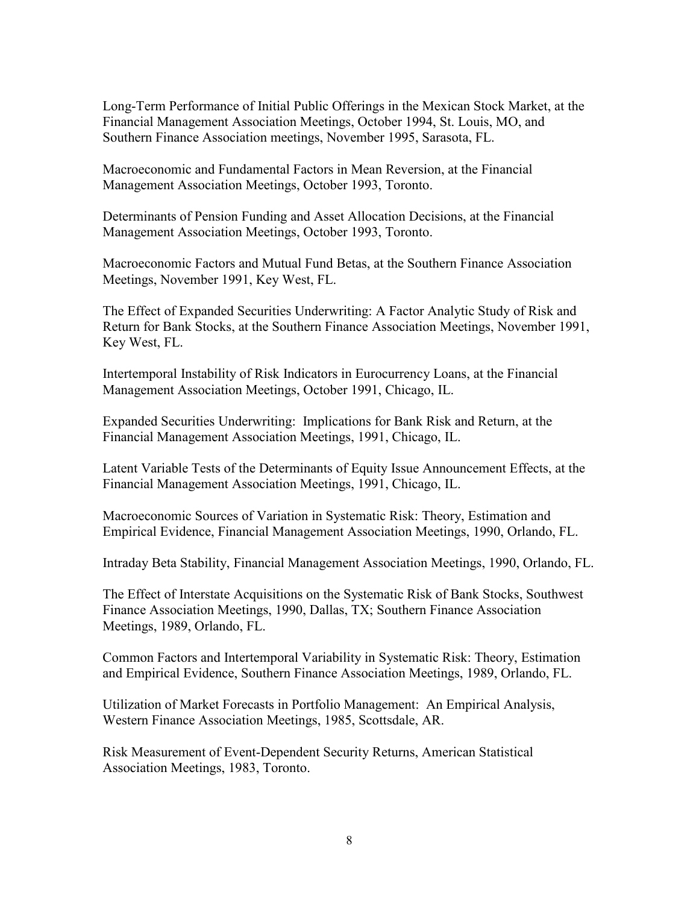Long-Term Performance of Initial Public Offerings in the Mexican Stock Market, at the Financial Management Association Meetings, October 1994, St. Louis, MO, and Southern Finance Association meetings, November 1995, Sarasota, FL.

Macroeconomic and Fundamental Factors in Mean Reversion, at the Financial Management Association Meetings, October 1993, Toronto.

Determinants of Pension Funding and Asset Allocation Decisions, at the Financial Management Association Meetings, October 1993, Toronto.

Macroeconomic Factors and Mutual Fund Betas, at the Southern Finance Association Meetings, November 1991, Key West, FL.

The Effect of Expanded Securities Underwriting: A Factor Analytic Study of Risk and Return for Bank Stocks, at the Southern Finance Association Meetings, November 1991, Key West, FL.

Intertemporal Instability of Risk Indicators in Eurocurrency Loans, at the Financial Management Association Meetings, October 1991, Chicago, IL.

Expanded Securities Underwriting: Implications for Bank Risk and Return, at the Financial Management Association Meetings, 1991, Chicago, IL.

Latent Variable Tests of the Determinants of Equity Issue Announcement Effects, at the Financial Management Association Meetings, 1991, Chicago, IL.

Macroeconomic Sources of Variation in Systematic Risk: Theory, Estimation and Empirical Evidence, Financial Management Association Meetings, 1990, Orlando, FL.

Intraday Beta Stability, Financial Management Association Meetings, 1990, Orlando, FL.

The Effect of Interstate Acquisitions on the Systematic Risk of Bank Stocks, Southwest Finance Association Meetings, 1990, Dallas, TX; Southern Finance Association Meetings, 1989, Orlando, FL.

Common Factors and Intertemporal Variability in Systematic Risk: Theory, Estimation and Empirical Evidence, Southern Finance Association Meetings, 1989, Orlando, FL.

Utilization of Market Forecasts in Portfolio Management: An Empirical Analysis, Western Finance Association Meetings, 1985, Scottsdale, AR.

Risk Measurement of Event-Dependent Security Returns, American Statistical Association Meetings, 1983, Toronto.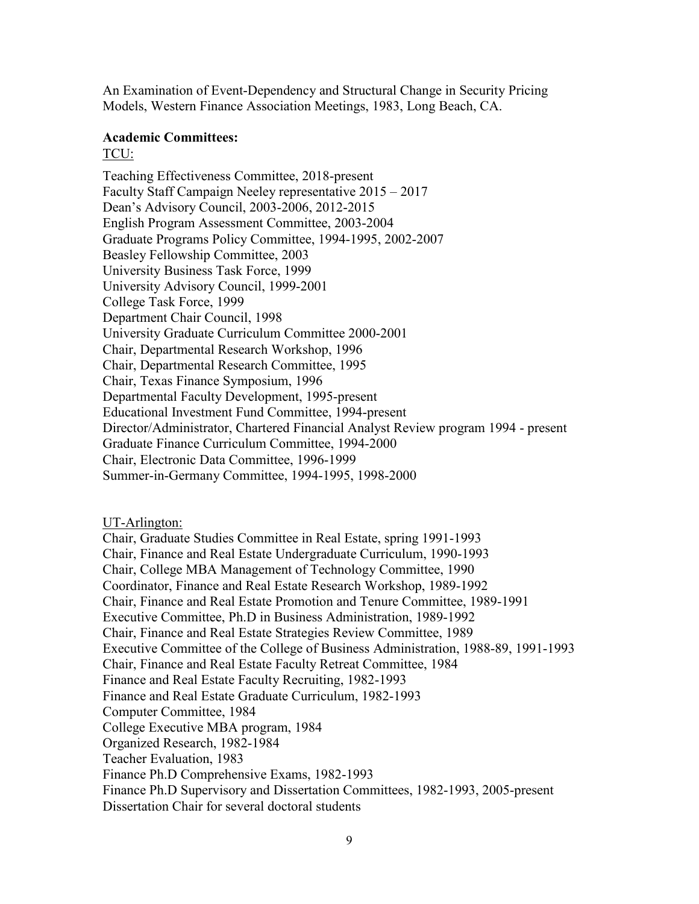An Examination of Event-Dependency and Structural Change in Security Pricing Models, Western Finance Association Meetings, 1983, Long Beach, CA.

## **Academic Committees:**

#### TCU:

Teaching Effectiveness Committee, 2018-present Faculty Staff Campaign Neeley representative 2015 – 2017 Dean's Advisory Council, 2003-2006, 2012-2015 English Program Assessment Committee, 2003-2004 Graduate Programs Policy Committee, 1994-1995, 2002-2007 Beasley Fellowship Committee, 2003 University Business Task Force, 1999 University Advisory Council, 1999-2001 College Task Force, 1999 Department Chair Council, 1998 University Graduate Curriculum Committee 2000-2001 Chair, Departmental Research Workshop, 1996 Chair, Departmental Research Committee, 1995 Chair, Texas Finance Symposium, 1996 Departmental Faculty Development, 1995-present Educational Investment Fund Committee, 1994-present Director/Administrator, Chartered Financial Analyst Review program 1994 - present Graduate Finance Curriculum Committee, 1994-2000 Chair, Electronic Data Committee, 1996-1999 Summer-in-Germany Committee, 1994-1995, 1998-2000

### UT-Arlington:

Chair, Graduate Studies Committee in Real Estate, spring 1991-1993 Chair, Finance and Real Estate Undergraduate Curriculum, 1990-1993 Chair, College MBA Management of Technology Committee, 1990 Coordinator, Finance and Real Estate Research Workshop, 1989-1992 Chair, Finance and Real Estate Promotion and Tenure Committee, 1989-1991 Executive Committee, Ph.D in Business Administration, 1989-1992 Chair, Finance and Real Estate Strategies Review Committee, 1989 Executive Committee of the College of Business Administration, 1988-89, 1991-1993 Chair, Finance and Real Estate Faculty Retreat Committee, 1984 Finance and Real Estate Faculty Recruiting, 1982-1993 Finance and Real Estate Graduate Curriculum, 1982-1993 Computer Committee, 1984 College Executive MBA program, 1984 Organized Research, 1982-1984 Teacher Evaluation, 1983 Finance Ph.D Comprehensive Exams, 1982-1993 Finance Ph.D Supervisory and Dissertation Committees, 1982-1993, 2005-present Dissertation Chair for several doctoral students